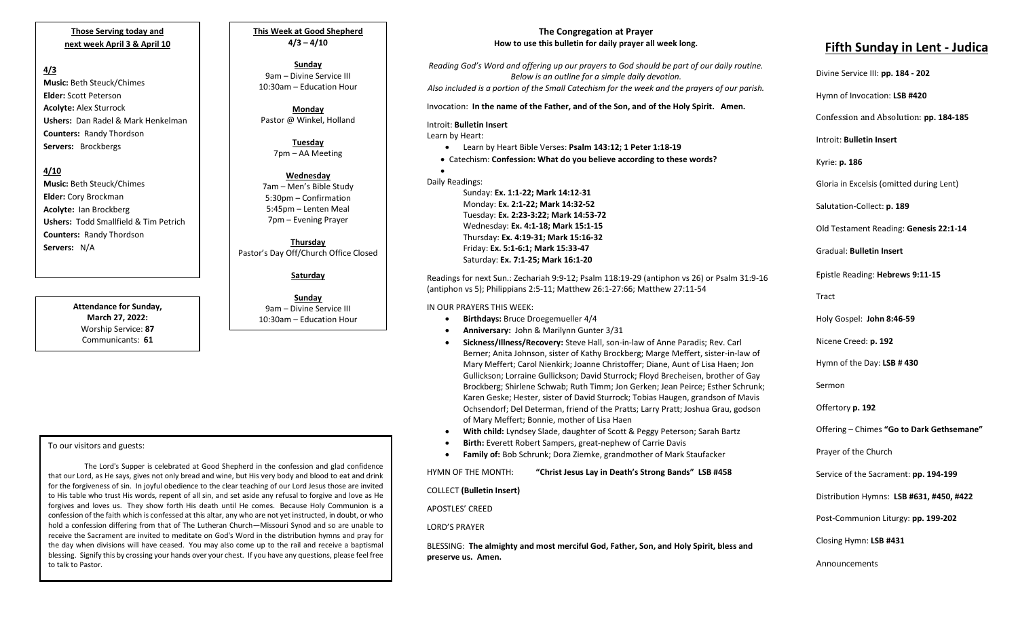## **Those Serving today and next week April 3 & April 10**

## **4/3**

**Music:** Beth Steuck/Chimes **Elder:** Scott Peterson **Acolyte:** Alex Sturrock **Ushers:** Dan Radel & Mark Henkelman **Counters:** Randy Thordson **Servers:** Brockbergs

## **4/10**

**Music:** Beth Steuck/Chimes **Elder:** Cory Brockman **Acolyte:** Ian Brockberg **Ushers:** Todd Smallfield & Tim Petrich **Counters:** Randy Thordson **Servers:** N/A

> **Attendance for Sunday, March 27, 2022:** Worship Service: **87** Communicants: **61**

**This Week at Good Shepherd 4/3 – 4/10**

**Sunday**  9am – Divine Service III 10:30am – Education Hour

**Monday** Pastor @ Winkel, Holland

> **Tuesday** 7pm – AA Meeting

**Wednesday** 7am – Men's Bible Study 5:30pm – Confirmation 5:45pm – Lenten Meal 7pm – Evening Prayer

**Thursday** Pastor's Day Off/Church Office Closed

## **Saturday**

**Sunday** 9am – Divine Service III 10:30am – Education Hour

## To our visitors and guests:

the day when divisions will have ceased. Tou hiay also come up to the rail and receive a baptismar<br>blessing. Signify this by crossing your hands over your chest. If you have any questions, please feel free The Lord's Supper is celebrated at Good Shepherd in the confession and glad confidence that our Lord, as He says, gives not only bread and wine, but His very body and blood to eat and drink for the forgiveness of sin. In joyful obedience to the clear teaching of our Lord Jesus those are invited to His table who trust His words, repent of all sin, and set aside any refusal to forgive and love as He forgives and loves us. They show forth His death until He comes. Because Holy Communion is a confession of the faith which is confessed at this altar, any who are not yet instructed, in doubt, or who hold a confession differing from that of The Lutheran Church—Missouri Synod and so are unable to receive the Sacrament are invited to meditate on God's Word in the distribution hymns and pray for the day when divisions will have ceased. You may also come up to the rail and receive a baptismal to talk to Pastor.

# **The Congregation at Prayer How to use this bulletin for daily prayer all week long.**

*Reading God's Word and offering up our prayers to God should be part of our daily routine. Below is an outline for a simple daily devotion. Also included is a portion of the Small Catechism for the week and the prayers of our parish.*

Invocation: **In the name of the Father, and of the Son, and of the Holy Spirit. Amen.**

## Introit: **Bulletin Insert**

Learn by Heart:

•

• Learn by Heart Bible Verses: **Psalm 143:12; 1 Peter 1:18-19**

• Catechism: **Confession: What do you believe according to these words?**

Daily Readings: Sunday: **Ex. 1:1-22; Mark 14:12-31** Monday: **Ex. 2:1-22; Mark 14:32-52** Tuesday: **Ex. 2:23-3:22; Mark 14:53-72** Wednesday: **Ex. 4:1-18; Mark 15:1-15** Thursday: **Ex. 4:19-31; Mark 15:16-32** Friday: **Ex. 5:1-6:1; Mark 15:33-47** Saturday: **Ex. 7:1-25; Mark 16:1-20**

Readings for next Sun.: Zechariah 9:9-12; Psalm 118:19-29 (antiphon vs 26) or Psalm 31:9-16 (antiphon vs 5); Philippians 2:5-11; Matthew 26:1-27:66; Matthew 27:11-54

## IN OUR PRAYERS THIS WEEK:

- **Birthdays:** Bruce Droegemueller 4/4
- **Anniversary:** John & Marilynn Gunter 3/31
- **Sickness/Illness/Recovery:** Steve Hall, son-in-law of Anne Paradis; Rev. Carl Berner; Anita Johnson, sister of Kathy Brockberg; Marge Meffert, sister-in-law of Mary Meffert; Carol Nienkirk; Joanne Christoffer; Diane, Aunt of Lisa Haen; Jon Gullickson; Lorraine Gullickson; David Sturrock; Floyd Brecheisen, brother of Gay Brockberg; Shirlene Schwab; Ruth Timm; Jon Gerken; Jean Peirce; Esther Schrunk; Karen Geske; Hester, sister of David Sturrock; Tobias Haugen, grandson of Mavis Ochsendorf; Del Determan, friend of the Pratts; Larry Pratt; Joshua Grau, godson of Mary Meffert; Bonnie, mother of Lisa Haen
- **With child:** Lyndsey Slade, daughter of Scott & Peggy Peterson; Sarah Bartz
- **Birth:** Everett Robert Sampers, great-nephew of Carrie Davis
- **Family of:** Bob Schrunk; Dora Ziemke, grandmother of Mark Staufacker

 HYMN OF THE MONTH: **"Christ Jesus Lay in Death's Strong Bands" LSB #458**

COLLECT **(Bulletin Insert)**

APOSTLES' CREED

LORD'S PRAYER

BLESSING: **The almighty and most merciful God, Father, Son, and Holy Spirit, bless and preserve us. Amen.**

# **Fifth Sunday in Lent - Judica**

Divine Service III: **pp. 184 - 202** Hymn of Invocation: **LSB #420** Confession and Absolution: **pp. 184-185** Introit: **Bulletin Insert**  Kyrie: **p. 186** Gloria in Excelsis (omitted during Lent) Salutation-Collect: **p. 189** Old Testament Reading: **Genesis 22:1-14** Gradual: **Bulletin Insert** Epistle Reading: **Hebrews 9:11-15** Tract Holy Gospel: **John 8:46-59** Nicene Creed: **p. 192** Hymn of the Day: **LSB # 430** Sermon Offertory **p. 192** Offering – Chimes **"Go to Dark Gethsemane"** Prayer of the Church Service of the Sacrament: **pp. 194-199** Distribution Hymns: **LSB #631, #450, #422** Post-Communion Liturgy: **pp. 199-202**  Closing Hymn: **LSB #431** Announcements